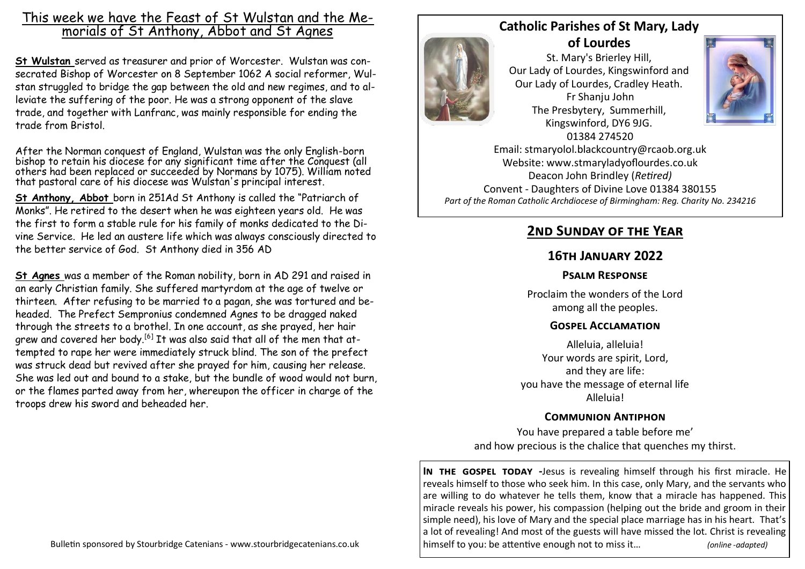## This week we have the Feast of St Wulstan and the Memorials of St Anthony, Abbot and St Agnes

**St Wulstan** served as [treasurer](https://en.wikipedia.org/wiki/Treasurer) and [prior](https://en.wikipedia.org/wiki/Prior) of Worcester. Wulstan was consecrated Bishop of Worcester on 8 September 1062 A social reformer, Wulstan struggled to bridge the gap between the old and new regimes, and to alleviate the suffering of the poor. He was a strong opponent of the [slave](https://en.wikipedia.org/wiki/Slave_trade)  [trade,](https://en.wikipedia.org/wiki/Slave_trade) and together with Lanfranc, was mainly responsible for ending the trade from [Bristol.](https://en.wikipedia.org/wiki/Bristol)

After the [Norman conquest of England,](https://en.wikipedia.org/wiki/Norman_conquest_of_England) Wulstan was the only English-born bishop to retain his diocese for any significant time after the Conquest (all others had been replaced or succeeded by Normans by 1075). William noted that pastoral care of his diocese was Wulstan's principal interest.

**St Anthony, Abbot** born in 251Ad St Anthony is called the "Patriarch of Monks". He retired to the desert when he was eighteen years old. He was the first to form a stable rule for his family of monks dedicated to the Divine Service. He led an austere life which was always consciously directed to the better service of God. St Anthony died in 356 AD

**St Agnes** was a member of the [Roman](https://en.wikipedia.org/wiki/Ancient_Rome) nobility, born in AD 291 and raised in an early Christian family. She suffered martyrdom at the age of twelve or thirteen. After refusing to be married to a pagan, she was tortured and beheaded. The [Prefect](https://en.wikipedia.org/wiki/Prefect) Sempronius condemned Agnes to be dragged naked through the streets to a brothel. In one account, as she prayed, her hair grew and covered her body.<sup>[\[6\]](https://en.wikipedia.org/wiki/Agnes_of_Rome#cite_note-aoca-6)</sup> It was also said that all of the men that attempted to rape her were immediately struck blind. The son of the prefect was struck dead but revived after she prayed for him, causing her release. She was led out and [bound to a stake,](https://en.wikipedia.org/wiki/Burning_at_the_stake) but the bundle of wood would not burn, or the flames parted away from her, whereupon the officer in charge of the troops drew his [sword](https://en.wikipedia.org/wiki/Sword) and [beheaded](https://en.wikipedia.org/wiki/Decapitation) her.



**Catholic Parishes of St Mary, Lady of Lourdes** 

St. Mary's Brierley Hill, Our Lady of Lourdes, Kingswinford and Our Lady of Lourdes, Cradley Heath. Fr Shanju John The Presbytery, Summerhill, Kingswinford, DY6 9JG. 01384 274520



Email: stmaryolol.blackcountry@rcaob.org.uk Website: www.stmaryladyoflourdes.co.uk Deacon John Brindley (*Retired)* Convent - Daughters of Divine Love 01384 380155 *Part of the Roman Catholic Archdiocese of Birmingham: Reg. Charity No. 234216*

# **2nd Sunday of the Year**

### **16th January 2022**

#### **Psalm Response**

Proclaim the wonders of the Lord among all the peoples.

#### **Gospel Acclamation**

Alleluia, alleluia! Your words are spirit, Lord, and they are life: you have the message of eternal life Alleluia!

#### **Communion Antiphon**

You have prepared a table before me' and how precious is the chalice that quenches my thirst.

**IN THE GOSPEL TODAY** -Jesus is revealing himself through his first miracle. He reveals himself to those who seek him. In this case, only Mary, and the servants who are willing to do whatever he tells them, know that a miracle has happened. This miracle reveals his power, his compassion (helping out the bride and groom in their simple need), his love of Mary and the special place marriage has in his heart. That's a lot of revealing! And most of the guests will have missed the lot. Christ is revealing himself to you: be attentive enough not to miss it… *(online -adapted)*